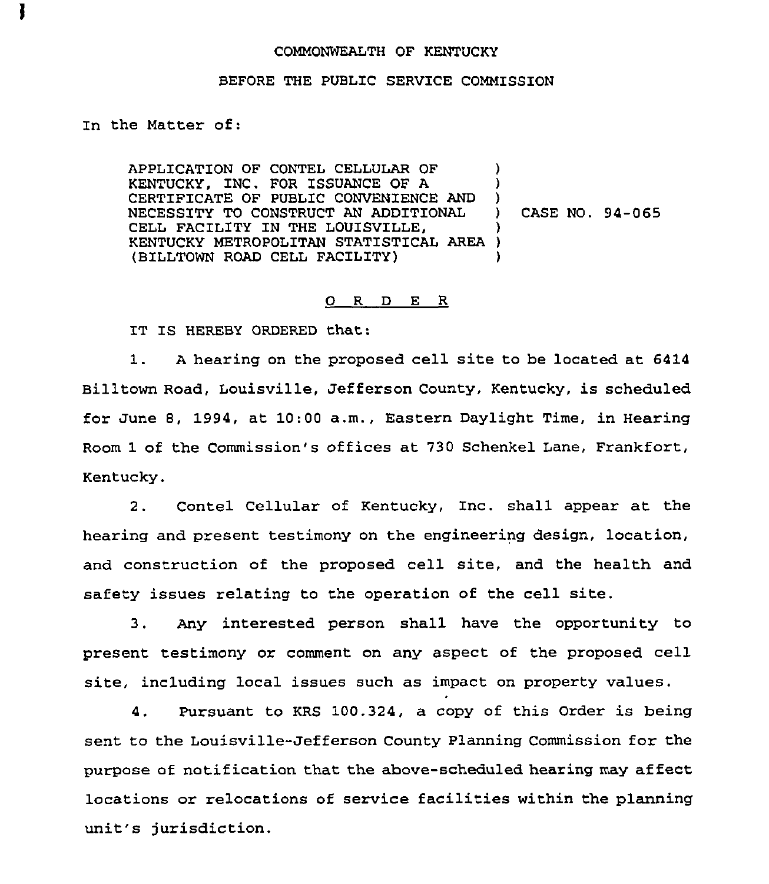## COMMONWEALTH OF KENTUCKY

## BEFORE THE PUBLIC SERVICE COMMISSION

In the Matter of:

APPLICATION OF CONTEL CELLULAR OF KENTUCKY, INC. FOR ISSUANCE OF A CERTIFICATE OF PUBLIC CONVENIENCE AND NECESSITY TO CONSTRUCT AN ADDITIONAL CELL FACILITY IN THE LOUISVILLE, KENTUCKY METROPOLITAN STATISTICAL AREA (BILLTOWN ROAD CELL FACILITY) ) ) ) ) CASE NO. 94-065 ) ) )

## 0 <sup>R</sup> <sup>D</sup> E <sup>R</sup>

IT IS HEREBY ORDERED that:

1. <sup>A</sup> hearing on the proposed cell site to be located at 6414 Billtown Road, Louisville, Jefferson County, Kentucky, is scheduled for June 8, 1994, at 10:00 a.m., Eastern Daylight Time, in Hearing Room 1 of the Commission's offices at 730 Schenkel Lane, Frankfort, Kentucky.

2. Contel Cellular of Kentucky, Znc. shall appear at the hearing and present testimony on the engineering design, location, and construction of the proposed cell site, and the health and safety issues relating to the operation of the cell site.

3. Any interested person shall have the opportunity to present testimony or comment on any aspect of the proposed cell site, including local issues such as impact on property values.

4. Pursuant to KRS 100.324, a copy of this Order is being sent to the Louisville-Jefferson County Planning Commission for the purpose of notification that the above-scheduled hearing may affect locations or relocations of service facilities within the planning unit's jurisdiction.